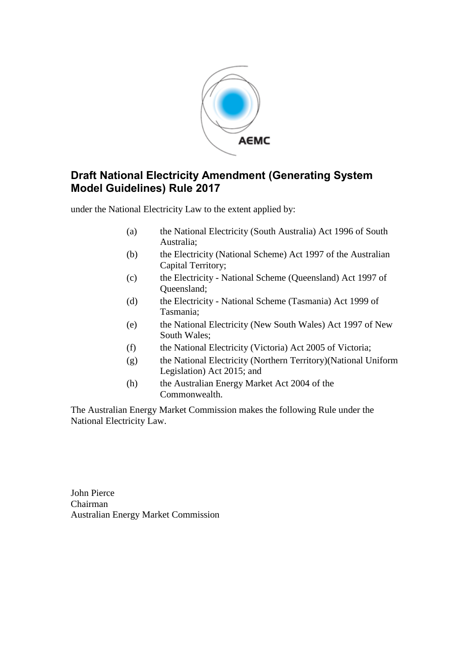

### **Draft National Electricity Amendment (Generating System Model Guidelines) Rule 2017**

under the National Electricity Law to the extent applied by:

- (a) the National Electricity (South Australia) Act 1996 of South Australia;
- (b) the Electricity (National Scheme) Act 1997 of the Australian Capital Territory;
- (c) the Electricity National Scheme (Queensland) Act 1997 of Queensland;
- (d) the Electricity National Scheme (Tasmania) Act 1999 of Tasmania;
- (e) the National Electricity (New South Wales) Act 1997 of New South Wales;
- (f) the National Electricity (Victoria) Act 2005 of Victoria;
- (g) the National Electricity (Northern Territory)(National Uniform Legislation) Act 2015; and
- (h) the Australian Energy Market Act 2004 of the Commonwealth.

The Australian Energy Market Commission makes the following Rule under the National Electricity Law.

John Pierce Chairman Australian Energy Market Commission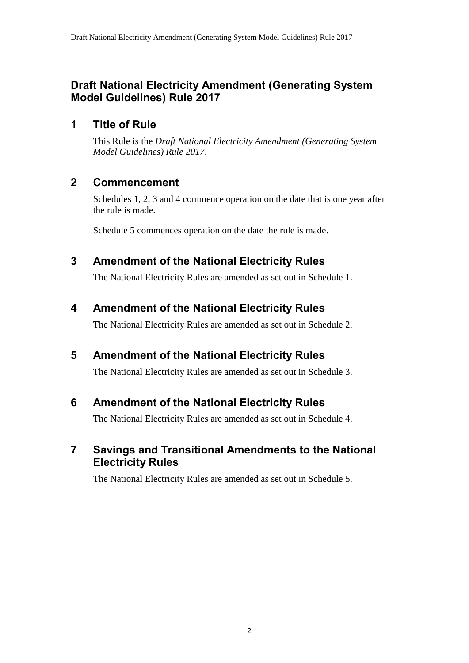### **Draft National Electricity Amendment (Generating System Model Guidelines) Rule 2017**

#### **1 Title of Rule**

This Rule is the *Draft National Electricity Amendment (Generating System Model Guidelines) Rule 2017*.

### **2 Commencement**

Schedules 1, 2, 3 and 4 commence operation on the date that is one year after the rule is made.

Schedule 5 commences operation on the date the rule is made.

#### <span id="page-1-0"></span>**3 Amendment of the National Electricity Rules**

The National Electricity Rules are amended as set out in [Schedule 1.](#page-2-0)

### <span id="page-1-1"></span>**4 Amendment of the National Electricity Rules**

The National Electricity Rules are amended as set out in [Schedule 2.](#page-3-0)

# <span id="page-1-2"></span>**5 Amendment of the National Electricity Rules**

The National Electricity Rules are amended as set out in [Schedule 3.](#page-4-0)

### <span id="page-1-3"></span>**6 Amendment of the National Electricity Rules**

The National Electricity Rules are amended as set out in [Schedule 4.](#page-12-0)

### <span id="page-1-4"></span>**7 Savings and Transitional Amendments to the National Electricity Rules**

The National Electricity Rules are amended as set out in [Schedule 5.](#page-13-0)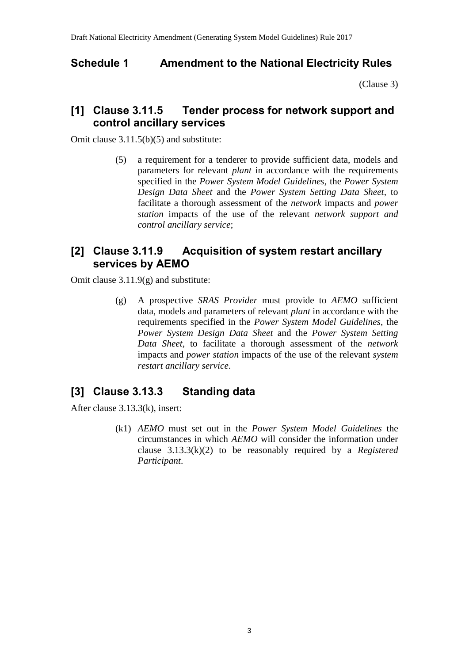### <span id="page-2-0"></span>**Schedule 1 Amendment to the National Electricity Rules**

[\(Clause 3\)](#page-1-0)

#### **[1] Clause 3.11.5 Tender process for network support and control ancillary services**

Omit clause 3.11.5(b)(5) and substitute:

(5) a requirement for a tenderer to provide sufficient data, models and parameters for relevant *plant* in accordance with the requirements specified in the *Power System Model Guidelines*, the *Power System Design Data Sheet* and the *Power System Setting Data Sheet*, to facilitate a thorough assessment of the *network* impacts and *power station* impacts of the use of the relevant *network support and control ancillary service*;

#### **[2] Clause 3.11.9 Acquisition of system restart ancillary services by AEMO**

Omit clause 3.11.9(g) and substitute:

(g) A prospective *SRAS Provider* must provide to *AEMO* sufficient data, models and parameters of relevant *plant* in accordance with the requirements specified in the *Power System Model Guidelines*, the *Power System Design Data Sheet* and the *Power System Setting Data Sheet*, to facilitate a thorough assessment of the *network* impacts and *power station* impacts of the use of the relevant *system restart ancillary service*.

# **[3] Clause 3.13.3 Standing data**

After clause 3.13.3(k), insert:

(k1) *AEMO* must set out in the *Power System Model Guidelines* the circumstances in which *AEMO* will consider the information under clause 3.13.3(k)(2) to be reasonably required by a *Registered Participant*.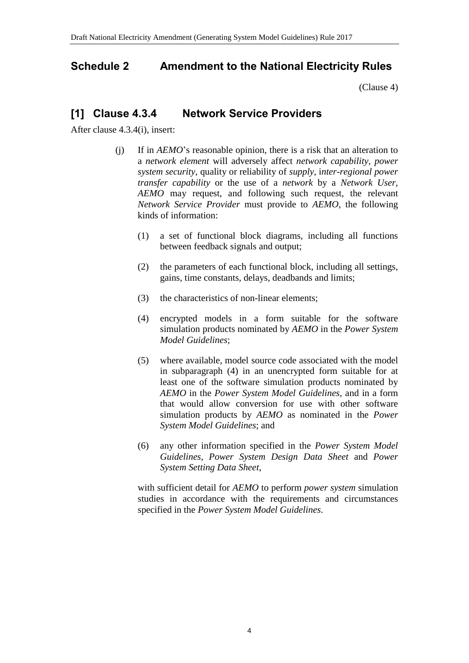### <span id="page-3-0"></span>**Schedule 2 Amendment to the National Electricity Rules**

[\(Clause 4\)](#page-1-1)

#### **[1] Clause 4.3.4 Network Service Providers**

After clause 4.3.4(i), insert:

- (j) If in *AEMO*'s reasonable opinion, there is a risk that an alteration to a *network element* will adversely affect *network capability*, *power system security*, quality or reliability of *supply*, i*nter-regional power transfer capability* or the use of a *network* by a *Network User*, *AEMO* may request, and following such request, the relevant *Network Service Provider* must provide to *AEMO*, the following kinds of information:
	- (1) a set of functional block diagrams, including all functions between feedback signals and output;
	- (2) the parameters of each functional block, including all settings, gains, time constants, delays, deadbands and limits;
	- (3) the characteristics of non-linear elements;
	- (4) encrypted models in a form suitable for the software simulation products nominated by *AEMO* in the *Power System Model Guidelines*;
	- (5) where available, model source code associated with the model in subparagraph (4) in an unencrypted form suitable for at least one of the software simulation products nominated by *AEMO* in the *Power System Model Guidelines*, and in a form that would allow conversion for use with other software simulation products by *AEMO* as nominated in the *Power System Model Guidelines*; and
	- (6) any other information specified in the *Power System Model Guidelines*, *Power System Design Data Sheet* and *Power System Setting Data Sheet*,

with sufficient detail for *AEMO* to perform *power system* simulation studies in accordance with the requirements and circumstances specified in the *Power System Model Guidelines*.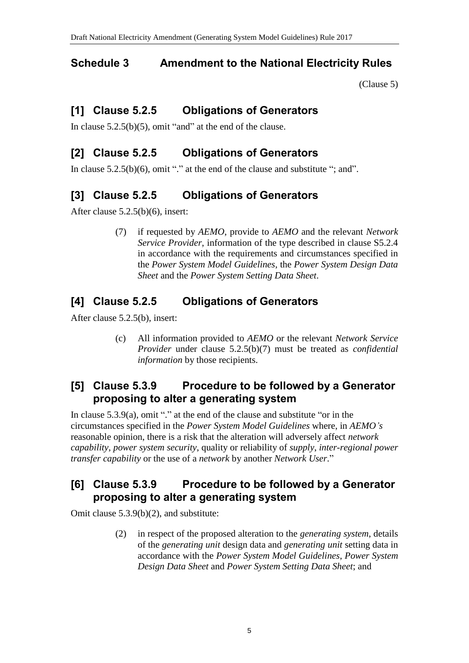## <span id="page-4-0"></span>**Schedule 3 Amendment to the National Electricity Rules**

[\(Clause 5\)](#page-1-2)

# **[1] Clause 5.2.5 Obligations of Generators**

In clause  $5.2.5(b)(5)$ , omit "and" at the end of the clause.

## **[2] Clause 5.2.5 Obligations of Generators**

In clause  $5.2.5(b)(6)$ , omit "." at the end of the clause and substitute "; and".

## **[3] Clause 5.2.5 Obligations of Generators**

After clause 5.2.5(b)(6), insert:

(7) if requested by *AEMO*, provide to *AEMO* and the relevant *Network Service Provider*, information of the type described in clause S5.2.4 in accordance with the requirements and circumstances specified in the *Power System Model Guidelines*, the *Power System Design Data Sheet* and the *Power System Setting Data Sheet*.

# **[4] Clause 5.2.5 Obligations of Generators**

After clause 5.2.5(b), insert:

(c) All information provided to *AEMO* or the relevant *Network Service Provider* under clause 5.2.5(b)(7) must be treated as *confidential information* by those recipients.

## **[5] Clause 5.3.9 Procedure to be followed by a Generator proposing to alter a generating system**

In clause 5.3.9(a), omit "." at the end of the clause and substitute "or in the circumstances specified in the *Power System Model Guidelines* where, in *AEMO's* reasonable opinion, there is a risk that the alteration will adversely affect *network capability*, *power system security*, quality or reliability of *supply*, *inter-regional power transfer capability* or the use of a *network* by another *Network User*."

## **[6] Clause 5.3.9 Procedure to be followed by a Generator proposing to alter a generating system**

Omit clause 5.3.9(b)(2), and substitute:

(2) in respect of the proposed alteration to the *generating system*, details of the *generating unit* design data and *generating unit* setting data in accordance with the *Power System Model Guidelines*, *Power System Design Data Sheet* and *Power System Setting Data Sheet*; and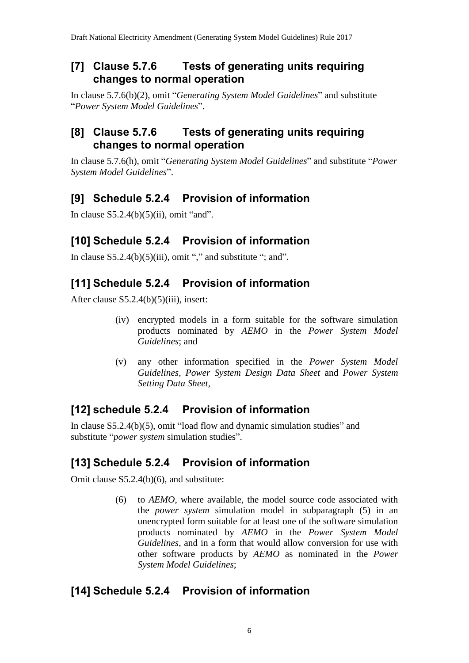#### **[7] Clause 5.7.6 Tests of generating units requiring changes to normal operation**

In clause 5.7.6(b)(2), omit "*Generating System Model Guidelines*" and substitute "*Power System Model Guidelines*".

### **[8] Clause 5.7.6 Tests of generating units requiring changes to normal operation**

In clause 5.7.6(h), omit "*Generating System Model Guidelines*" and substitute "*Power System Model Guidelines*".

# **[9] Schedule 5.2.4 Provision of information**

In clause  $S5.2.4(b)(5)(ii)$ , omit "and".

# **[10] Schedule 5.2.4 Provision of information**

In clause  $S5.2.4(b)(5)(iii)$ , omit "," and substitute "; and".

## **[11] Schedule 5.2.4 Provision of information**

After clause S5.2.4(b)(5)(iii), insert:

- (iv) encrypted models in a form suitable for the software simulation products nominated by *AEMO* in the *Power System Model Guidelines*; and
- (v) any other information specified in the *Power System Model Guidelines*, *Power System Design Data Sheet* and *Power System Setting Data Sheet*,

# **[12] schedule 5.2.4 Provision of information**

In clause S5.2.4(b)(5), omit "load flow and dynamic simulation studies" and substitute "*power system* simulation studies".

# **[13] Schedule 5.2.4 Provision of information**

Omit clause S5.2.4(b)(6), and substitute:

(6) to *AEMO*, where available, the model source code associated with the *power system* simulation model in subparagraph (5) in an unencrypted form suitable for at least one of the software simulation products nominated by *AEMO* in the *Power System Model Guidelines*, and in a form that would allow conversion for use with other software products by *AEMO* as nominated in the *Power System Model Guidelines*;

### **[14] Schedule 5.2.4 Provision of information**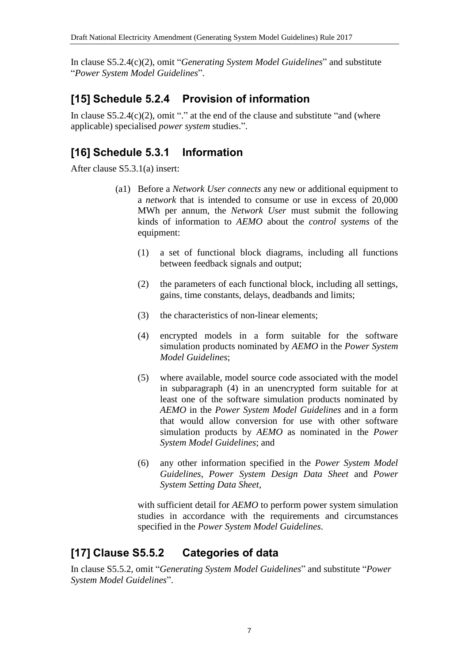In clause S5.2.4(c)(2), omit "*Generating System Model Guidelines*" and substitute "*Power System Model Guidelines*".

## **[15] Schedule 5.2.4 Provision of information**

In clause  $S5.2.4(c)(2)$ , omit "." at the end of the clause and substitute "and (where applicable) specialised *power system* studies.".

## **[16] Schedule 5.3.1 Information**

After clause S5.3.1(a) insert:

- (a1) Before a *Network User connects* any new or additional equipment to a *network* that is intended to consume or use in excess of 20,000 MWh per annum, the *Network User* must submit the following kinds of information to *AEMO* about the *control systems* of the equipment:
	- (1) a set of functional block diagrams, including all functions between feedback signals and output;
	- (2) the parameters of each functional block, including all settings, gains, time constants, delays, deadbands and limits;
	- (3) the characteristics of non-linear elements;
	- (4) encrypted models in a form suitable for the software simulation products nominated by *AEMO* in the *Power System Model Guidelines*;
	- (5) where available, model source code associated with the model in subparagraph (4) in an unencrypted form suitable for at least one of the software simulation products nominated by *AEMO* in the *Power System Model Guidelines* and in a form that would allow conversion for use with other software simulation products by *AEMO* as nominated in the *Power System Model Guidelines*; and
	- (6) any other information specified in the *Power System Model Guidelines*, *Power System Design Data Sheet* and *Power System Setting Data Sheet*,

with sufficient detail for *AEMO* to perform power system simulation studies in accordance with the requirements and circumstances specified in the *Power System Model Guidelines*.

# **[17] Clause S5.5.2 Categories of data**

In clause S5.5.2, omit "*Generating System Model Guidelines*" and substitute "*Power System Model Guidelines*".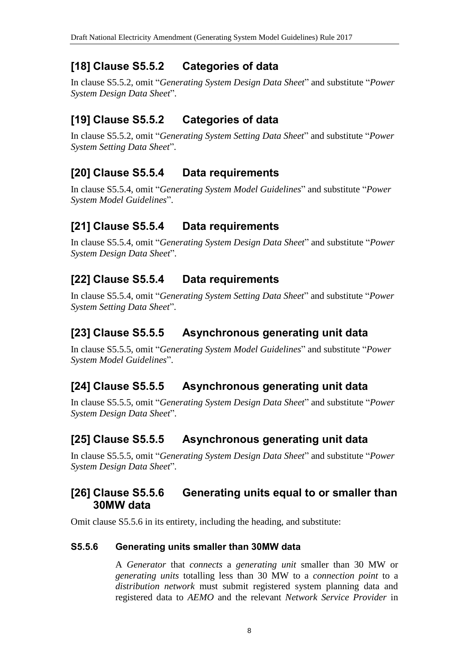## **[18] Clause S5.5.2 Categories of data**

In clause S5.5.2, omit "*Generating System Design Data Sheet*" and substitute "*Power System Design Data Sheet*".

# **[19] Clause S5.5.2 Categories of data**

In clause S5.5.2, omit "*Generating System Setting Data Sheet*" and substitute "*Power System Setting Data Sheet*".

## **[20] Clause S5.5.4 Data requirements**

In clause S5.5.4, omit "*Generating System Model Guidelines*" and substitute "*Power System Model Guidelines*".

## **[21] Clause S5.5.4 Data requirements**

In clause S5.5.4, omit "*Generating System Design Data Sheet*" and substitute "*Power System Design Data Sheet*".

## **[22] Clause S5.5.4 Data requirements**

In clause S5.5.4, omit "*Generating System Setting Data Sheet*" and substitute "*Power System Setting Data Sheet*".

## **[23] Clause S5.5.5 Asynchronous generating unit data**

In clause S5.5.5, omit "*Generating System Model Guidelines*" and substitute "*Power System Model Guidelines*".

# **[24] Clause S5.5.5 Asynchronous generating unit data**

In clause S5.5.5, omit "*Generating System Design Data Sheet*" and substitute "*Power System Design Data Sheet*".

### **[25] Clause S5.5.5 Asynchronous generating unit data**

In clause S5.5.5, omit "*Generating System Design Data Sheet*" and substitute "*Power System Design Data Sheet*".

#### **[26] Clause S5.5.6 Generating units equal to or smaller than 30MW data**

Omit clause S5.5.6 in its entirety, including the heading, and substitute:

#### **S5.5.6 Generating units smaller than 30MW data**

A *Generator* that *connects* a *generating unit* smaller than 30 MW or *generating units* totalling less than 30 MW to a *connection point* to a *distribution network* must submit registered system planning data and registered data to *AEMO* and the relevant *Network Service Provider* in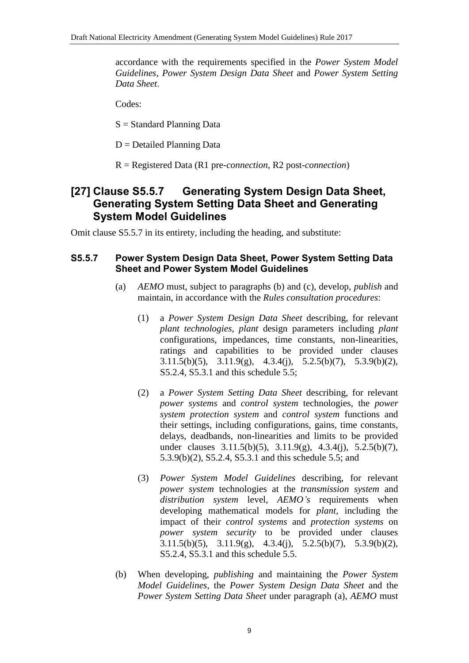accordance with the requirements specified in the *Power System Model Guidelines*, *Power System Design Data Sheet* and *Power System Setting Data Sheet*.

Codes:

S = Standard Planning Data

 $D =$  Detailed Planning Data

R = Registered Data (R1 pre-*connection*, R2 post-*connection*)

#### **[27] Clause S5.5.7 Generating System Design Data Sheet, Generating System Setting Data Sheet and Generating System Model Guidelines**

Omit clause S5.5.7 in its entirety, including the heading, and substitute:

#### **S5.5.7 Power System Design Data Sheet, Power System Setting Data Sheet and Power System Model Guidelines**

- (a) *AEMO* must, subject to paragraphs (b) and (c), develop, *publish* and maintain, in accordance with the *Rules consultation procedures*:
	- (1) a *Power System Design Data Sheet* describing, for relevant *plant technologies*, *plant* design parameters including *plant* configurations, impedances, time constants, non-linearities, ratings and capabilities to be provided under clauses 3.11.5(b)(5), 3.11.9(g), 4.3.4(j), 5.2.5(b)(7), 5.3.9(b)(2), S5.2.4, S5.3.1 and this schedule 5.5;
	- (2) a *Power System Setting Data Sheet* describing, for relevant *power systems* and *control system* technologies, the *power system protection system* and *control system* functions and their settings, including configurations, gains, time constants, delays, deadbands, non-linearities and limits to be provided under clauses 3.11.5(b)(5), 3.11.9(g), 4.3.4(j), 5.2.5(b)(7), 5.3.9(b)(2), S5.2.4, S5.3.1 and this schedule 5.5; and
	- (3) *Power System Model Guidelines* describing, for relevant *power system* technologies at the *transmission system* and *distribution system* level, *AEMO's* requirements when developing mathematical models for *plant*, including the impact of their *control systems* and *protection systems* on *power system security* to be provided under clauses 3.11.5(b)(5), 3.11.9(g), 4.3.4(j), 5.2.5(b)(7), 5.3.9(b)(2), S5.2.4, S5.3.1 and this schedule 5.5.
- (b) When developing, *publishing* and maintaining the *Power System Model Guidelines*, the *Power System Design Data Sheet* and the *Power System Setting Data Sheet* under paragraph (a), *AEMO* must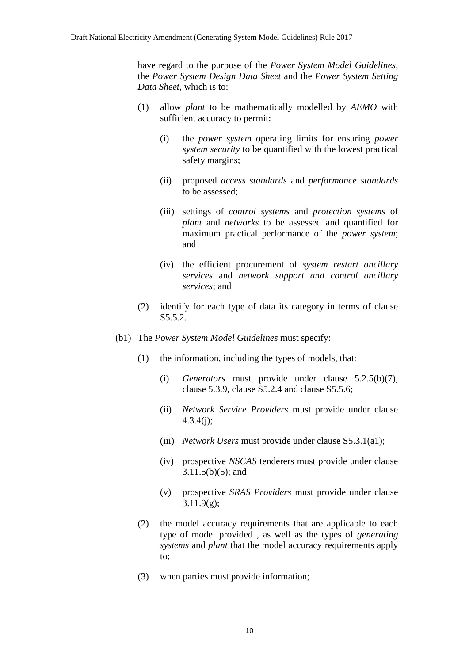have regard to the purpose of the *Power System Model Guidelines*, the *Power System Design Data Sheet* and the *Power System Setting Data Sheet*, which is to:

- (1) allow *plant* to be mathematically modelled by *AEMO* with sufficient accuracy to permit:
	- (i) the *power system* operating limits for ensuring *power system security* to be quantified with the lowest practical safety margins;
	- (ii) proposed *access standards* and *performance standards* to be assessed;
	- (iii) settings of *control systems* and *protection systems* of *plant* and *networks* to be assessed and quantified for maximum practical performance of the *power system*; and
	- (iv) the efficient procurement of *system restart ancillary services* and *network support and control ancillary services*; and
- (2) identify for each type of data its category in terms of clause S5.5.2.
- (b1) The *Power System Model Guidelines* must specify:
	- (1) the information, including the types of models, that:
		- (i) *Generators* must provide under clause 5.2.5(b)(7), clause 5.3.9, clause S5.2.4 and clause S5.5.6;
		- (ii) *Network Service Providers* must provide under clause 4.3.4(j);
		- (iii) *Network Users* must provide under clause S5.3.1(a1);
		- (iv) prospective *NSCAS* tenderers must provide under clause 3.11.5(b)(5); and
		- (v) prospective *SRAS Providers* must provide under clause 3.11.9(g);
	- (2) the model accuracy requirements that are applicable to each type of model provided , as well as the types of *generating systems* and *plant* that the model accuracy requirements apply to;
	- (3) when parties must provide information;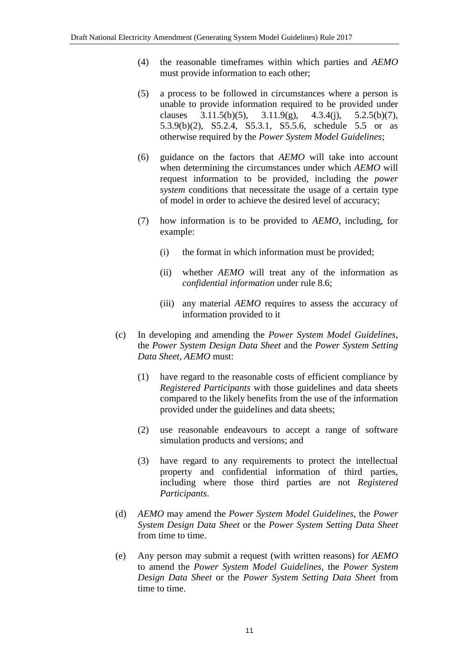- (4) the reasonable timeframes within which parties and *AEMO* must provide information to each other;
- (5) a process to be followed in circumstances where a person is unable to provide information required to be provided under clauses  $3.11.5(b)(5)$ ,  $3.11.9(g)$ ,  $4.3.4(i)$ ,  $5.2.5(b)(7)$ , 5.3.9(b)(2), S5.2.4, S5.3.1, S5.5.6, schedule 5.5 or as otherwise required by the *Power System Model Guidelines*;
- (6) guidance on the factors that *AEMO* will take into account when determining the circumstances under which *AEMO* will request information to be provided, including the *power system* conditions that necessitate the usage of a certain type of model in order to achieve the desired level of accuracy;
- (7) how information is to be provided to *AEMO*, including, for example:
	- (i) the format in which information must be provided;
	- (ii) whether *AEMO* will treat any of the information as *confidential information* under rule 8.6;
	- (iii) any material *AEMO* requires to assess the accuracy of information provided to it
- (c) In developing and amending the *Power System Model Guidelines*, the *Power System Design Data Sheet* and the *Power System Setting Data Sheet*, *AEMO* must:
	- (1) have regard to the reasonable costs of efficient compliance by *Registered Participants* with those guidelines and data sheets compared to the likely benefits from the use of the information provided under the guidelines and data sheets;
	- (2) use reasonable endeavours to accept a range of software simulation products and versions; and
	- (3) have regard to any requirements to protect the intellectual property and confidential information of third parties, including where those third parties are not *Registered Participants*.
- (d) *AEMO* may amend the *Power System Model Guidelines*, the *Power System Design Data Sheet* or the *Power System Setting Data Sheet*  from time to time.
- (e) Any person may submit a request (with written reasons) for *AEMO* to amend the *Power System Model Guidelines*, the *Power System Design Data Sheet* or the *Power System Setting Data Sheet* from time to time.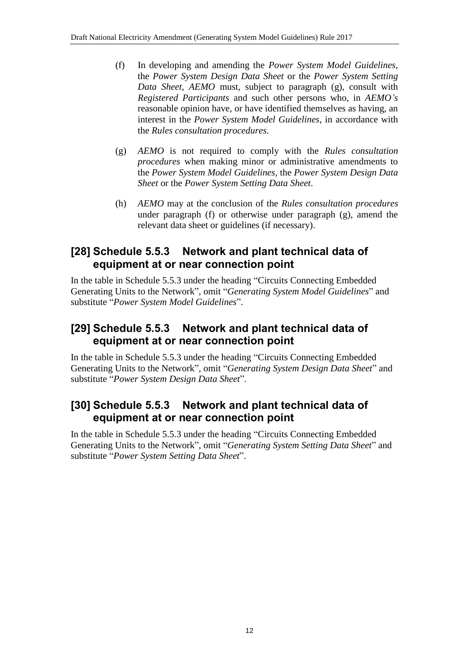- (f) In developing and amending the *Power System Model Guidelines*, the *Power System Design Data Sheet* or the *Power System Setting Data Sheet*, *AEMO* must, subject to paragraph (g), consult with *Registered Participants* and such other persons who, in *AEMO's* reasonable opinion have, or have identified themselves as having, an interest in the *Power System Model Guidelines*, in accordance with the *Rules consultation procedures*.
- (g) *AEMO* is not required to comply with the *Rules consultation procedures* when making minor or administrative amendments to the *Power System Model Guidelines*, the *Power System Design Data Sheet* or the *Power System Setting Data Sheet*.
- (h) *AEMO* may at the conclusion of the *Rules consultation procedures* under paragraph (f) or otherwise under paragraph (g), amend the relevant data sheet or guidelines (if necessary).

## **[28] Schedule 5.5.3 Network and plant technical data of equipment at or near connection point**

In the table in Schedule 5.5.3 under the heading "Circuits Connecting Embedded Generating Units to the Network", omit "*Generating System Model Guidelines*" and substitute "*Power System Model Guidelines*".

## **[29] Schedule 5.5.3 Network and plant technical data of equipment at or near connection point**

In the table in Schedule 5.5.3 under the heading "Circuits Connecting Embedded Generating Units to the Network", omit "*Generating System Design Data Sheet*" and substitute "*Power System Design Data Sheet*".

#### **[30] Schedule 5.5.3 Network and plant technical data of equipment at or near connection point**

In the table in Schedule 5.5.3 under the heading "Circuits Connecting Embedded Generating Units to the Network", omit "*Generating System Setting Data Sheet*" and substitute "*Power System Setting Data Sheet*".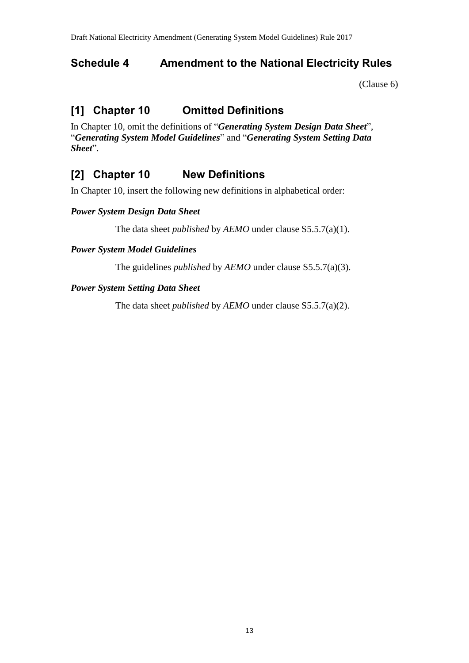### <span id="page-12-0"></span>**Schedule 4 Amendment to the National Electricity Rules**

[\(Clause 6\)](#page-1-3)

# **[1] Chapter 10 Omitted Definitions**

In Chapter 10, omit the definitions of "*Generating System Design Data Sheet*", "*Generating System Model Guidelines*" and "*Generating System Setting Data Sheet*".

# **[2] Chapter 10 New Definitions**

In Chapter 10, insert the following new definitions in alphabetical order:

#### *Power System Design Data Sheet*

The data sheet *published* by *AEMO* under clause S5.5.7(a)(1).

#### *Power System Model Guidelines*

The guidelines *published* by *AEMO* under clause S5.5.7(a)(3).

#### *Power System Setting Data Sheet*

The data sheet *published* by *AEMO* under clause S5.5.7(a)(2).